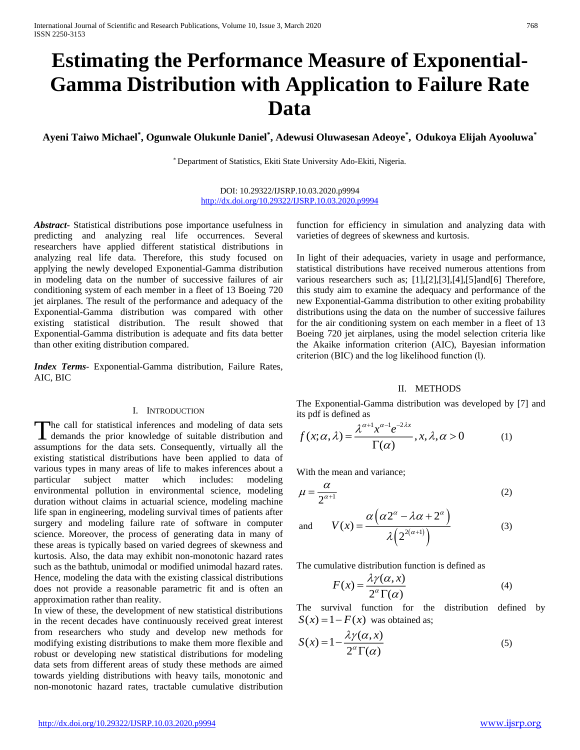# **Estimating the Performance Measure of Exponential-Gamma Distribution with Application to Failure Rate Data**

**Ayeni Taiwo Michael\* , Ogunwale Olukunle Daniel\* , Adewusi Oluwasesan Adeoye\* , Odukoya Elijah Ayooluwa\***

\* Department of Statistics, Ekiti State University Ado-Ekiti, Nigeria.

DOI: 10.29322/IJSRP.10.03.2020.p9994 <http://dx.doi.org/10.29322/IJSRP.10.03.2020.p9994>

*Abstract***-** Statistical distributions pose importance usefulness in predicting and analyzing real life occurrences. Several researchers have applied different statistical distributions in analyzing real life data. Therefore, this study focused on applying the newly developed Exponential-Gamma distribution in modeling data on the number of successive failures of air conditioning system of each member in a fleet of 13 Boeing 720 jet airplanes. The result of the performance and adequacy of the Exponential-Gamma distribution was compared with other existing statistical distribution. The result showed that Exponential-Gamma distribution is adequate and fits data better than other exiting distribution compared.

*Index Terms*- Exponential-Gamma distribution, Failure Rates, AIC, BIC

#### I. INTRODUCTION

he call for statistical inferences and modeling of data sets The call for statistical inferences and modeling of data sets demands the prior knowledge of suitable distribution and assumptions for the data sets. Consequently, virtually all the existing statistical distributions have been applied to data of various types in many areas of life to makes inferences about a particular subject matter which includes: modeling environmental pollution in environmental science, modeling duration without claims in actuarial science, modeling machine life span in engineering, modeling survival times of patients after surgery and modeling failure rate of software in computer science. Moreover, the process of generating data in many of these areas is typically based on varied degrees of skewness and kurtosis. Also, the data may exhibit non-monotonic hazard rates such as the bathtub, unimodal or modified unimodal hazard rates. Hence, modeling the data with the existing classical distributions does not provide a reasonable parametric fit and is often an approximation rather than reality.

In view of these, the development of new statistical distributions in the recent decades have continuously received great interest from researchers who study and develop new methods for modifying existing distributions to make them more flexible and robust or developing new statistical distributions for modeling data sets from different areas of study these methods are aimed towards yielding distributions with heavy tails, monotonic and non-monotonic hazard rates, tractable cumulative distribution function for efficiency in simulation and analyzing data with varieties of degrees of skewness and kurtosis.

In light of their adequacies, variety in usage and performance, statistical distributions have received numerous attentions from various researchers such as; [1],[2],[3],[4],[5]and[6] Therefore, this study aim to examine the adequacy and performance of the new Exponential-Gamma distribution to other exiting probability distributions using the data on the number of successive failures for the air conditioning system on each member in a fleet of 13 Boeing 720 jet airplanes, using the model selection criteria like the Akaike information criterion (AIC), Bayesian information criterion (BIC) and the log likelihood function (l).

#### II. METHODS

The Exponential-Gamma distribution was developed by [7] and its pdf is defined as

$$
f(x; \alpha, \lambda) = \frac{\lambda^{\alpha+1} x^{\alpha-1} e^{-2\lambda x}}{\Gamma(\alpha)}, x, \lambda, \alpha > 0
$$
 (1)

With the mean and variance;

$$
\mu = \frac{\alpha}{2^{\alpha + 1}}\tag{2}
$$

and 
$$
V(x) = \frac{\alpha (\alpha 2^{\alpha} - \lambda \alpha + 2^{\alpha})}{\lambda (2^{2(\alpha+1)})}
$$
 (3)

The cumulative distribution function is defined as

$$
F(x) = \frac{\lambda \gamma(\alpha, x)}{2^{\alpha} \Gamma(\alpha)}
$$
 (4)

The survival function for the distribution defined by  $S(x) = 1 - F(x)$  was obtained as;

$$
S(x) = 1 - \frac{\lambda \gamma(\alpha, x)}{2^{\alpha} \Gamma(\alpha)}
$$
\n<sup>(5)</sup>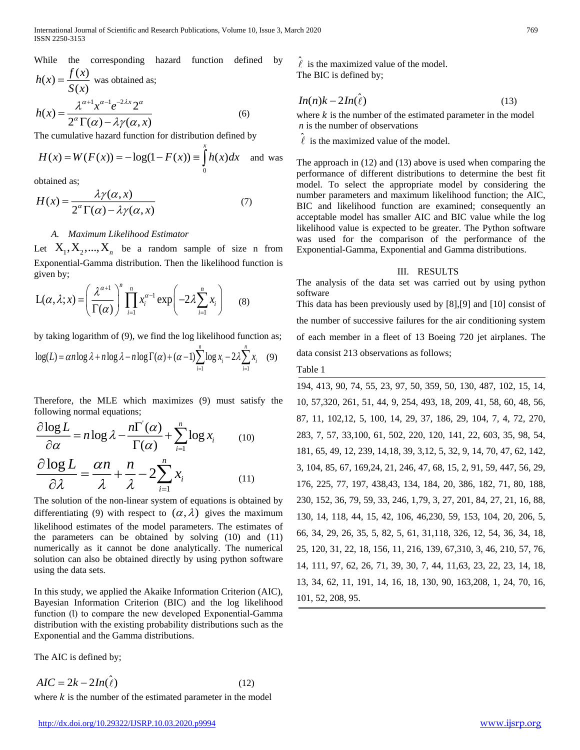While the corresponding hazard function defined by  
\n
$$
h(x) = \frac{f(x)}{S(x)}
$$
 was obtained as;  
\n
$$
h(x) = \frac{\lambda^{\alpha+1} x^{\alpha-1} e^{-2\lambda x} 2^{\alpha}}{2^{\alpha} \Gamma(\alpha) - \lambda \gamma(\alpha, x)}
$$
 (6)

The cumulative hazard function for distribution defined by

$$
H(x) = W(F(x)) = -\log(1 - F(x)) \equiv \int_{0}^{x} h(x)dx
$$
 and was

obtained as;

$$
H(x) = \frac{\lambda \gamma(\alpha, x)}{2^{\alpha} \Gamma(\alpha) - \lambda \gamma(\alpha, x)}
$$
(7)

# *A. Maximum Likelihood Estimator*

Let  $X_1, X_2, ..., X_n$  be a random sample of size n from Exponential-Gamma distribution. Then the likelihood function is given by;

$$
L(\alpha, \lambda; x) = \left(\frac{\lambda^{\alpha+1}}{\Gamma(\alpha)}\right)^n \prod_{i=1}^n x_i^{\alpha-1} \exp\left(-2\lambda \sum_{i=1}^n x_i\right) \tag{8}
$$

by taking logarithm of (9), we find the log likelihood function as;

$$
\log(L) = \alpha n \log \lambda + n \log \lambda - n \log \Gamma(\alpha) + (\alpha - 1) \sum_{i=1}^{n} \log x_i - 2\lambda \sum_{i=1}^{n} x_i \quad (9)
$$

Therefore, the MLE which maximizes (9) must satisfy the following normal equations;

$$
\frac{\partial \log L}{\partial \alpha} = n \log \lambda - \frac{n \Gamma(\alpha)}{\Gamma(\alpha)} + \sum_{i=1}^{n} \log x_i \qquad (10)
$$

$$
\frac{\partial \log L}{\partial \lambda} = \frac{\alpha n}{\lambda} + \frac{n}{\lambda} - 2 \sum_{i=1}^{n} x_i \qquad (11)
$$

The solution of the non-linear system of equations is obtained by differentiating (9) with respect to  $(\alpha, \lambda)$  gives the maximum likelihood estimates of the model parameters. The estimates of the parameters can be obtained by solving (10) and (11) numerically as it cannot be done analytically. The numerical solution can also be obtained directly by using python software using the data sets. While the corresponding hazard function defined by  $\frac{2}{3}(x)$ <br>  $h(x) = \frac{\lambda^{2/3}}{\lambda^{2/3}}(x^{2/3}e^{-2kx}2^{\alpha})$  (b)  $\frac{1}{3}(x) = \lambda^{2/3}(x^{2/3}e^{-2kx})$ <br>
The cumulative hazard function for distribution defined by  $H(x) = W(F(x)) = -\log(1 - F(x)) =$ 

In this study, we applied the Akaike Information Criterion (AIC), Bayesian Information Criterion (BIC) and the log likelihood function (l) to compare the new developed Exponential-Gamma distribution with the existing probability distributions such as the Exponential and the Gamma distributions.

The AIC is defined by;

 $AIC = 2k - 2In(\hat{\ell})$ (12)

 $\hat{\ell}$  is the maximized value of the model. The BIC is defined by;

$$
In(n)k - 2In(\hat{\ell})
$$
\n(13)

where  $k$  is the number of the estimated parameter in the model *n* is the number of observations

 $\hat{\ell}$  is the maximized value of the model.

The approach in (12) and (13) above is used when comparing the performance of different distributions to determine the best fit model. To select the appropriate model by considering the number parameters and maximum likelihood function; the AIC, BIC and likelihood function are examined; consequently an acceptable model has smaller AIC and BIC value while the log likelihood value is expected to be greater. The Python software was used for the comparison of the performance of the Exponential-Gamma, Exponential and Gamma distributions.

### III. RESULTS

The analysis of the data set was carried out by using python software

This data has been previously used by [8],[9] and [10] consist of the number of successive failures for the air conditioning system of each member in a fleet of 13 Boeing 720 jet airplanes. The data consist 213 observations as follows;

### Table 1

194, 413, 90, 74, 55, 23, 97, 50, 359, 50, 130, 487, 102, 15, 14, 10, 57,320, 261, 51, 44, 9, 254, 493, 18, 209, 41, 58, 60, 48, 56, 87, 11, 102,12, 5, 100, 14, 29, 37, 186, 29, 104, 7, 4, 72, 270, 283, 7, 57, 33,100, 61, 502, 220, 120, 141, 22, 603, 35, 98, 54, 181, 65, 49, 12, 239, 14,18, 39, 3,12, 5, 32, 9, 14, 70, 47, 62, 142, 3, 104, 85, 67, 169,24, 21, 246, 47, 68, 15, 2, 91, 59, 447, 56, 29, 176, 225, 77, 197, 438,43, 134, 184, 20, 386, 182, 71, 80, 188, 230, 152, 36, 79, 59, 33, 246, 1,79, 3, 27, 201, 84, 27, 21, 16, 88, 130, 14, 118, 44, 15, 42, 106, 46,230, 59, 153, 104, 20, 206, 5, 66, 34, 29, 26, 35, 5, 82, 5, 61, 31,118, 326, 12, 54, 36, 34, 18, 25, 120, 31, 22, 18, 156, 11, 216, 139, 67,310, 3, 46, 210, 57, 76, 14, 111, 97, 62, 26, 71, 39, 30, 7, 44, 11,63, 23, 22, 23, 14, 18, 13, 34, 62, 11, 191, 14, 16, 18, 130, 90, 163,208, 1, 24, 70, 16, 101, 52, 208, 95.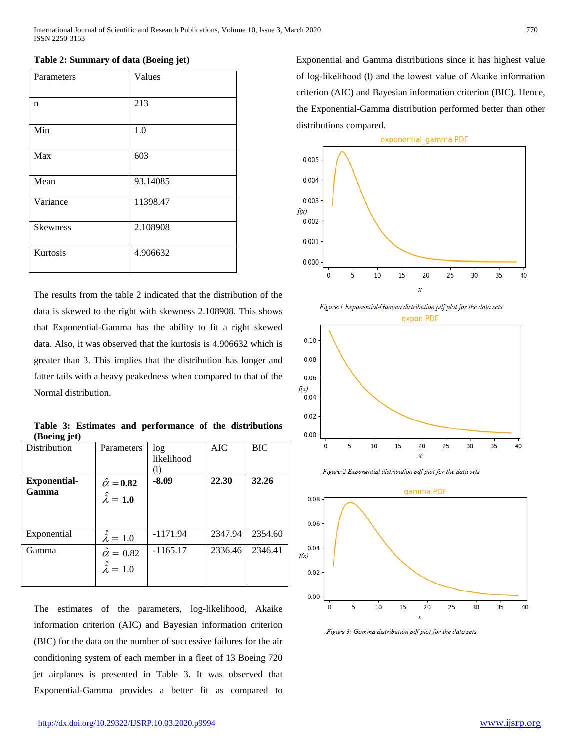| Parameters      | Values   |
|-----------------|----------|
| n               | 213      |
| Min             | 1.0      |
| Max             | 603      |
| Mean            | 93.14085 |
| Variance        | 11398.47 |
| <b>Skewness</b> | 2.108908 |
| Kurtosis        | 4.906632 |
|                 |          |

### **Table 2: Summary of data (Boeing jet)**

The results from the table 2 indicated that the distribution of the data is skewed to the right with skewness 2.108908. This shows that Exponential-Gamma has the ability to fit a right skewed data. Also, it was observed that the kurtosis is 4.906632 which is greater than 3. This implies that the distribution has longer and fatter tails with a heavy peakedness when compared to that of the Normal distribution.

**Table 3: Estimates and performance of the distributions (Boeing jet)**

| Distribution                 | Parameters                                     | log<br>likelihood | AIC     | BIC     |
|------------------------------|------------------------------------------------|-------------------|---------|---------|
| <b>Exponential-</b><br>Gamma | $\hat{\alpha} = 0.82$<br>$\hat{\lambda} = 1.0$ | $-8.09$           | 22.30   | 32.26   |
| Exponential                  | $\hat{\lambda} = 1.0$                          | $-1171.94$        | 2347.94 | 2354.60 |
| Gamma                        | $\hat{\alpha} = 0.82$<br>$\hat{\lambda} = 1.0$ | $-1165.17$        | 2336.46 | 2346.41 |

The estimates of the parameters, log-likelihood, Akaike information criterion (AIC) and Bayesian information criterion (BIC) for the data on the number of successive failures for the air conditioning system of each member in a fleet of 13 Boeing 720 jet airplanes is presented in Table 3. It was observed that Exponential-Gamma provides a better fit as compared to

Exponential and Gamma distributions since it has highest value of log-likelihood (l) and the lowest value of Akaike information criterion (AIC) and Bayesian information criterion (BIC). Hence, the Exponential-Gamma distribution performed better than other distributions compared.











Figure 3: Gamma distribution pdf plot for the data sets